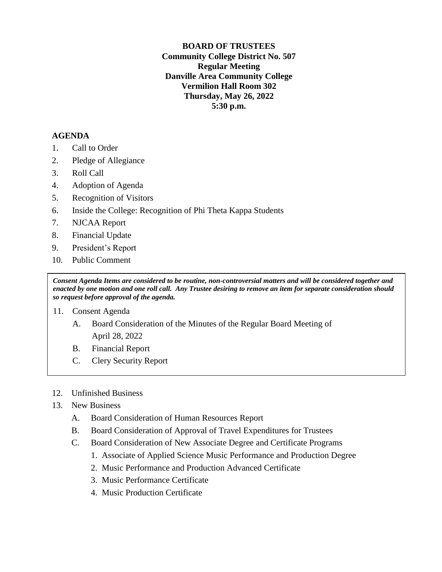**BOARD OF TRUSTEES Community College District No. 507 Regular Meeting Danville Area Community College Vermilion Hall Room 302 Thursday, May 26, 2022 5:30 p.m.**

### **AGENDA**

- 1. Call to Order
- 2. Pledge of Allegiance
- 3. Roll Call
- 4. Adoption of Agenda
- 5. Recognition of Visitors
- 6. Inside the College: Recognition of Phi Theta Kappa Students
- 7. NJCAA Report
- 8. Financial Update
- 9. President's Report
- 10. Public Comment

*Consent Agenda Items are considered to be routine, non-controversial matters and will be considered together and enacted by one motion and one roll call. Any Trustee desiring to remove an item for separate consideration should so request before approval of the agenda.*

### 11. Consent Agenda

- A. Board Consideration of the Minutes of the Regular Board Meeting of April 28, 2022
- B. Financial Report
- C. Clery Security Report
- 12. Unfinished Business
- 13. New Business
	- A. Board Consideration of Human Resources Report
	- B. Board Consideration of Approval of Travel Expenditures for Trustees
	- C. Board Consideration of New Associate Degree and Certificate Programs
		- 1. Associate of Applied Science Music Performance and Production Degree
		- 2. Music Performance and Production Advanced Certificate
		- 3. Music Performance Certificate
		- 4. Music Production Certificate